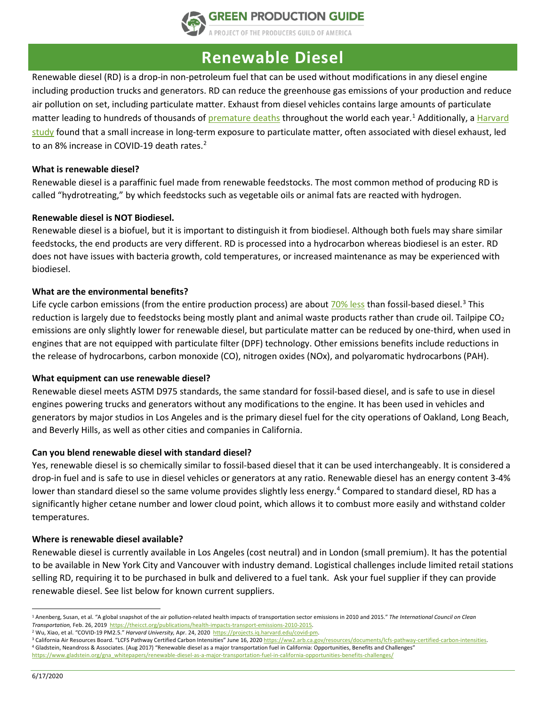

## **Renewable Diesel**

Renewable diesel (RD) is a drop-in non-petroleum fuel that can be used without modifications in any diesel engine including production trucks and generators. RD can reduce the greenhouse gas emissions of your production and reduce air pollution on set, including particulate matter. Exhaust from diesel vehicles contains large amounts of particulate matter leading to hundreds of thousands o[f premature deaths](https://theicct.org/publications/health-impacts-transport-emissions-2010-2015) throughout the world each year.<sup>1</sup> Additionally, a Harvard [study](https://projects.iq.harvard.edu/covid-pm) found that a small increase in long-term exposure to particulate matter, often associated with diesel exhaust, led to an 8% increase in COVID-19 death rates.<sup>[2](#page-0-1)</sup>

#### **What is renewable diesel?**

Renewable diesel is a paraffinic fuel made from renewable feedstocks. The most common method of producing RD is called "hydrotreating," by which feedstocks such as vegetable oils or animal fats are reacted with hydrogen.

#### **Renewable diesel is NOT Biodiesel.**

Renewable diesel is a biofuel, but it is important to distinguish it from biodiesel. Although both fuels may share similar feedstocks, the end products are very different. RD is processed into a hydrocarbon whereas biodiesel is an ester. RD does not have issues with bacteria growth, cold temperatures, or increased maintenance as may be experienced with biodiesel.

#### **What are the environmental benefits?**

Life cycle carbon emissions (from the entire production process) are about [70% less](https://ww2.arb.ca.gov/resources/documents/lcfs-pathway-certified-carbon-intensities) than fossil-based diesel.<sup>[3](#page-0-2)</sup> This reduction is largely due to feedstocks being mostly plant and animal waste products rather than crude oil. Tailpipe  $CO<sub>2</sub>$ emissions are only slightly lower for renewable diesel, but particulate matter can be reduced by one-third, when used in engines that are not equipped with particulate filter (DPF) technology. Other emissions benefits include reductions in the release of hydrocarbons, carbon monoxide (CO), nitrogen oxides (NOx), and polyaromatic hydrocarbons (PAH).

#### **What equipment can use renewable diesel?**

Renewable diesel meets ASTM D975 standards, the same standard for fossil-based diesel, and is safe to use in diesel engines powering trucks and generators without any modifications to the engine. It has been used in vehicles and generators by major studios in Los Angeles and is the primary diesel fuel for the city operations of Oakland, Long Beach, and Beverly Hills, as well as other cities and companies in California.

#### **Can you blend renewable diesel with standard diesel?**

Yes, renewable diesel is so chemically similar to fossil-based diesel that it can be used interchangeably. It is considered a drop-in fuel and is safe to use in diesel vehicles or generators at any ratio. Renewable diesel has an energy content 3-4% lower than standard diesel so the same volume provides slightly less energy.<sup>[4](#page-0-3)</sup> Compared to standard diesel, RD has a significantly higher cetane number and lower cloud point, which allows it to combust more easily and withstand colder temperatures.

#### **Where is renewable diesel available?**

Renewable diesel is currently available in Los Angeles (cost neutral) and in London (small premium). It has the potential to be available in New York City and Vancouver with industry demand. Logistical challenges include limited retail stations selling RD, requiring it to be purchased in bulk and delivered to a fuel tank. Ask your fuel supplier if they can provide renewable diesel. See list below for known current suppliers.

<span id="page-0-0"></span> $\overline{a}$ <sup>1</sup> Anenberg, Susan, et al. "A global snapshot of the air pollution-related health impacts of transportation sector emissions in 2010 and 2015." *The International Council on Clean Transportation,* Feb. 26, 2019 [https://theicct.org/publications/health-impacts-transport-emissions-2010-2015.](https://theicct.org/publications/health-impacts-transport-emissions-2010-2015)

<span id="page-0-1"></span><sup>2</sup> Wu, Xiao, et al. "COVID-19 PM2.5." *Harvard University,* Apr. 24, 2020 [https://projects.iq.harvard.edu/covid-pm.](https://projects.iq.harvard.edu/covid-pm)

<span id="page-0-3"></span><span id="page-0-2"></span><sup>&</sup>lt;sup>3</sup> California Air Resources Board. "LCFS Pathway Certified Carbon Intensities" June 16, 202[0 https://ww2.arb.ca.gov/resources/documents/lcfs-pathway-certified-carbon-intensities.](https://ww2.arb.ca.gov/resources/documents/lcfs-pathway-certified-carbon-intensities) <sup>4</sup> Gladstein, Neandross & Associates. (Aug 2017) "Renewable diesel as a major transportation fuel in California: Opportunities, Benefits and Challenges" [https://www.gladstein.org/gna\\_whitepapers/renewable-diesel-as-a-major-transportation-fuel-in-california-opportunities-benefits-challenges/](https://www.gladstein.org/gna_whitepapers/renewable-diesel-as-a-major-transportation-fuel-in-california-opportunities-benefits-challenges/)